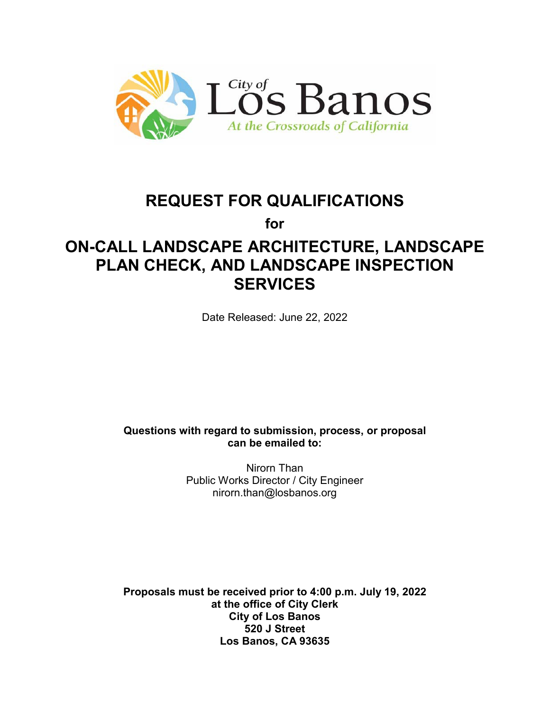

# **REQUEST FOR QUALIFICATIONS**

**for**

# **ON-CALL LANDSCAPE ARCHITECTURE, LANDSCAPE PLAN CHECK, AND LANDSCAPE INSPECTION SERVICES**

Date Released: June 22, 2022

**Questions with regard to submission, process, or proposal can be emailed to:**

> Nirorn Than Public Works Director / City Engineer nirorn.than@losbanos.org

**Proposals must be received prior to 4:00 p.m. July 19, 2022 at the office of City Clerk City of Los Banos 520 J Street Los Banos, CA 93635**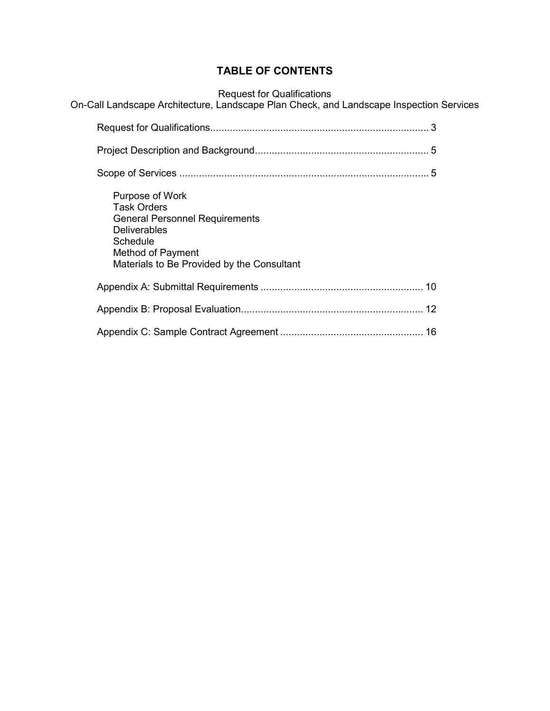# **TABLE OF CONTENTS**

Request for Qualifications

On-Call Landscape Architecture, Landscape Plan Check, and Landscape Inspection Services

| Purpose of Work<br><b>Task Orders</b><br><b>General Personnel Requirements</b><br><b>Deliverables</b><br>Schedule<br>Method of Payment<br>Materials to Be Provided by the Consultant |  |
|--------------------------------------------------------------------------------------------------------------------------------------------------------------------------------------|--|
|                                                                                                                                                                                      |  |
|                                                                                                                                                                                      |  |
|                                                                                                                                                                                      |  |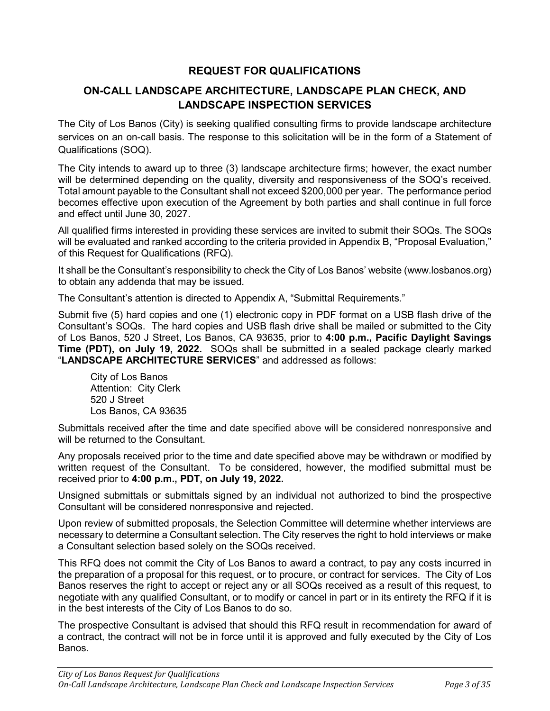# **REQUEST FOR QUALIFICATIONS**

# **ON-CALL LANDSCAPE ARCHITECTURE, LANDSCAPE PLAN CHECK, AND LANDSCAPE INSPECTION SERVICES**

The City of Los Banos (City) is seeking qualified consulting firms to provide landscape architecture services on an on-call basis. The response to this solicitation will be in the form of a Statement of Qualifications (SOQ).

The City intends to award up to three (3) landscape architecture firms; however, the exact number will be determined depending on the quality, diversity and responsiveness of the SOQ's received. Total amount payable to the Consultant shall not exceed \$200,000 per year. The performance period becomes effective upon execution of the Agreement by both parties and shall continue in full force and effect until June 30, 2027.

All qualified firms interested in providing these services are invited to submit their SOQs. The SOQs will be evaluated and ranked according to the criteria provided in Appendix B, "Proposal Evaluation," of this Request for Qualifications (RFQ).

It shall be the Consultant's responsibility to check the City of Los Banos' website (www.losbanos.org) to obtain any addenda that may be issued.

The Consultant's attention is directed to Appendix A, "Submittal Requirements."

Submit five (5) hard copies and one (1) electronic copy in PDF format on a USB flash drive of the Consultant's SOQs. The hard copies and USB flash drive shall be mailed or submitted to the City of Los Banos, 520 J Street, Los Banos, CA 93635, prior to **4:00 p.m., Pacific Daylight Savings Time (PDT), on July 19, 2022.** SOQs shall be submitted in a sealed package clearly marked "**LANDSCAPE ARCHITECTURE SERVICES**" and addressed as follows:

City of Los Banos Attention: City Clerk 520 J Street Los Banos, CA 93635

Submittals received after the time and date specified above will be considered nonresponsive and will be returned to the Consultant.

Any proposals received prior to the time and date specified above may be withdrawn or modified by written request of the Consultant. To be considered, however, the modified submittal must be received prior to **4:00 p.m., PDT, on July 19, 2022.**

Unsigned submittals or submittals signed by an individual not authorized to bind the prospective Consultant will be considered nonresponsive and rejected.

Upon review of submitted proposals, the Selection Committee will determine whether interviews are necessary to determine a Consultant selection. The City reserves the right to hold interviews or make a Consultant selection based solely on the SOQs received.

This RFQ does not commit the City of Los Banos to award a contract, to pay any costs incurred in the preparation of a proposal for this request, or to procure, or contract for services. The City of Los Banos reserves the right to accept or reject any or all SOQs received as a result of this request, to negotiate with any qualified Consultant, or to modify or cancel in part or in its entirety the RFQ if it is in the best interests of the City of Los Banos to do so.

The prospective Consultant is advised that should this RFQ result in recommendation for award of a contract, the contract will not be in force until it is approved and fully executed by the City of Los Banos.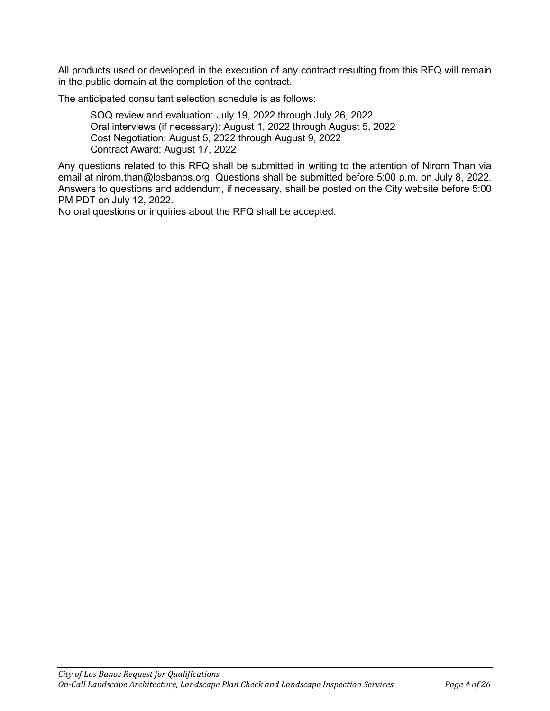All products used or developed in the execution of any contract resulting from this RFQ will remain in the public domain at the completion of the contract.

The anticipated consultant selection schedule is as follows:

SOQ review and evaluation: July 19, 2022 through July 26, 2022 Oral interviews (if necessary): August 1, 2022 through August 5, 2022 Cost Negotiation: August 5, 2022 through August 9, 2022 Contract Award: August 17, 2022

Any questions related to this RFQ shall be submitted in writing to the attention of Nirorn Than via email at nirorn.than@losbanos.org. Questions shall be submitted before 5:00 p.m. on July 8, 2022. Answers to questions and addendum, if necessary, shall be posted on the City website before 5:00 PM PDT on July 12, 2022.

No oral questions or inquiries about the RFQ shall be accepted.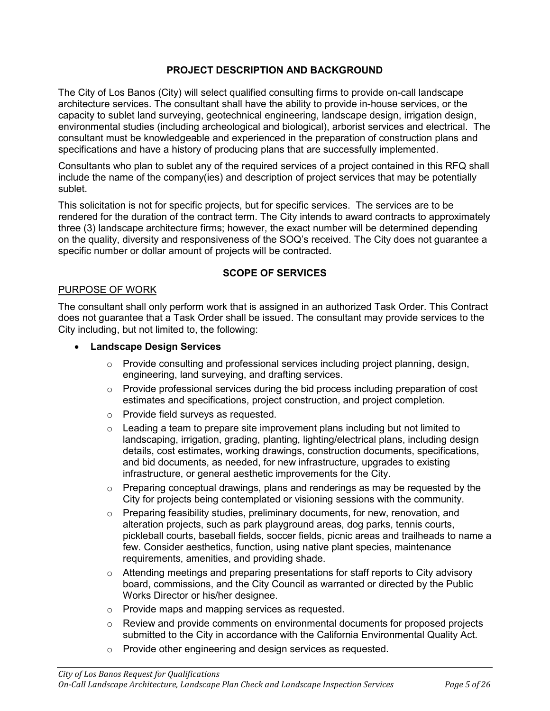### **PROJECT DESCRIPTION AND BACKGROUND**

The City of Los Banos (City) will select qualified consulting firms to provide on-call landscape architecture services. The consultant shall have the ability to provide in-house services, or the capacity to sublet land surveying, geotechnical engineering, landscape design, irrigation design, environmental studies (including archeological and biological), arborist services and electrical. The consultant must be knowledgeable and experienced in the preparation of construction plans and specifications and have a history of producing plans that are successfully implemented.

Consultants who plan to sublet any of the required services of a project contained in this RFQ shall include the name of the company(ies) and description of project services that may be potentially sublet.

This solicitation is not for specific projects, but for specific services. The services are to be rendered for the duration of the contract term. The City intends to award contracts to approximately three (3) landscape architecture firms; however, the exact number will be determined depending on the quality, diversity and responsiveness of the SOQ's received. The City does not guarantee a specific number or dollar amount of projects will be contracted.

#### **SCOPE OF SERVICES**

#### PURPOSE OF WORK

The consultant shall only perform work that is assigned in an authorized Task Order. This Contract does not guarantee that a Task Order shall be issued. The consultant may provide services to the City including, but not limited to, the following:

#### • **Landscape Design Services**

- $\circ$  Provide consulting and professional services including project planning, design, engineering, land surveying, and drafting services.
- $\circ$  Provide professional services during the bid process including preparation of cost estimates and specifications, project construction, and project completion.
- o Provide field surveys as requested.
- $\circ$  Leading a team to prepare site improvement plans including but not limited to landscaping, irrigation, grading, planting, lighting/electrical plans, including design details, cost estimates, working drawings, construction documents, specifications, and bid documents, as needed, for new infrastructure, upgrades to existing infrastructure, or general aesthetic improvements for the City.
- $\circ$  Preparing conceptual drawings, plans and renderings as may be requested by the City for projects being contemplated or visioning sessions with the community.
- o Preparing feasibility studies, preliminary documents, for new, renovation, and alteration projects, such as park playground areas, dog parks, tennis courts, pickleball courts, baseball fields, soccer fields, picnic areas and trailheads to name a few. Consider aesthetics, function, using native plant species, maintenance requirements, amenities, and providing shade.
- o Attending meetings and preparing presentations for staff reports to City advisory board, commissions, and the City Council as warranted or directed by the Public Works Director or his/her designee.
- o Provide maps and mapping services as requested.
- $\circ$  Review and provide comments on environmental documents for proposed projects submitted to the City in accordance with the California Environmental Quality Act.
- o Provide other engineering and design services as requested.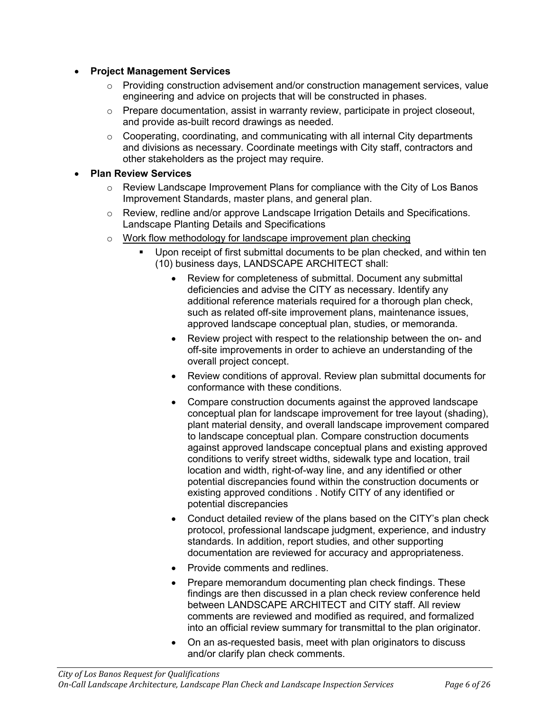#### • **Project Management Services**

- $\circ$  Providing construction advisement and/or construction management services, value engineering and advice on projects that will be constructed in phases.
- $\circ$  Prepare documentation, assist in warranty review, participate in project closeout, and provide as-built record drawings as needed.
- $\circ$  Cooperating, coordinating, and communicating with all internal City departments and divisions as necessary. Coordinate meetings with City staff, contractors and other stakeholders as the project may require.

#### • **Plan Review Services**

- $\circ$  Review Landscape Improvement Plans for compliance with the City of Los Banos Improvement Standards, master plans, and general plan.
- $\circ$  Review, redline and/or approve Landscape Irrigation Details and Specifications. Landscape Planting Details and Specifications
- o Work flow methodology for landscape improvement plan checking
	- Upon receipt of first submittal documents to be plan checked, and within ten (10) business days, LANDSCAPE ARCHITECT shall:
		- Review for completeness of submittal. Document any submittal deficiencies and advise the CITY as necessary. Identify any additional reference materials required for a thorough plan check, such as related off-site improvement plans, maintenance issues, approved landscape conceptual plan, studies, or memoranda.
		- Review project with respect to the relationship between the on- and off-site improvements in order to achieve an understanding of the overall project concept.
		- Review conditions of approval. Review plan submittal documents for conformance with these conditions.
		- Compare construction documents against the approved landscape conceptual plan for landscape improvement for tree layout (shading), plant material density, and overall landscape improvement compared to landscape conceptual plan. Compare construction documents against approved landscape conceptual plans and existing approved conditions to verify street widths, sidewalk type and location, trail location and width, right-of-way line, and any identified or other potential discrepancies found within the construction documents or existing approved conditions . Notify CITY of any identified or potential discrepancies
		- Conduct detailed review of the plans based on the CITY's plan check protocol, professional landscape judgment, experience, and industry standards. In addition, report studies, and other supporting documentation are reviewed for accuracy and appropriateness.
		- Provide comments and redlines.
		- Prepare memorandum documenting plan check findings. These findings are then discussed in a plan check review conference held between LANDSCAPE ARCHITECT and CITY staff. All review comments are reviewed and modified as required, and formalized into an official review summary for transmittal to the plan originator.
		- On an as-requested basis, meet with plan originators to discuss and/or clarify plan check comments.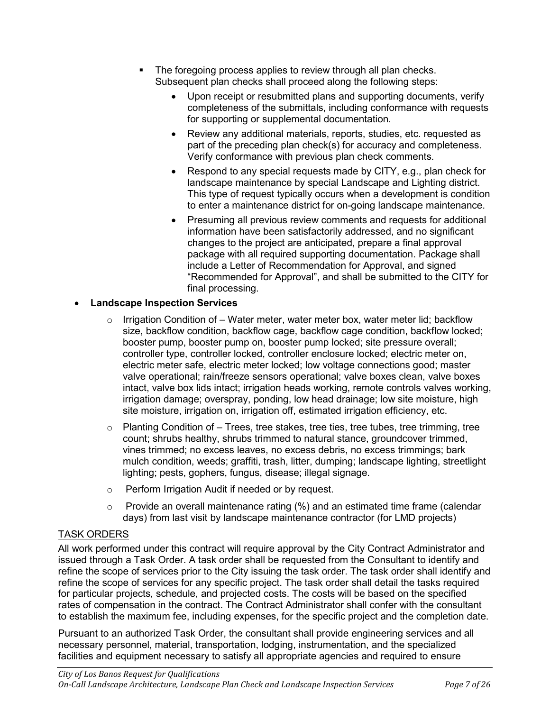- The foregoing process applies to review through all plan checks. Subsequent plan checks shall proceed along the following steps:
	- Upon receipt or resubmitted plans and supporting documents, verify completeness of the submittals, including conformance with requests for supporting or supplemental documentation.
	- Review any additional materials, reports, studies, etc. requested as part of the preceding plan check(s) for accuracy and completeness. Verify conformance with previous plan check comments.
	- Respond to any special requests made by CITY, e.g., plan check for landscape maintenance by special Landscape and Lighting district. This type of request typically occurs when a development is condition to enter a maintenance district for on-going landscape maintenance.
	- Presuming all previous review comments and requests for additional information have been satisfactorily addressed, and no significant changes to the project are anticipated, prepare a final approval package with all required supporting documentation. Package shall include a Letter of Recommendation for Approval, and signed "Recommended for Approval", and shall be submitted to the CITY for final processing.

# • **Landscape Inspection Services**

- $\circ$  Irrigation Condition of Water meter, water meter box, water meter lid; backflow size, backflow condition, backflow cage, backflow cage condition, backflow locked; booster pump, booster pump on, booster pump locked; site pressure overall; controller type, controller locked, controller enclosure locked; electric meter on, electric meter safe, electric meter locked; low voltage connections good; master valve operational; rain/freeze sensors operational; valve boxes clean, valve boxes intact, valve box lids intact; irrigation heads working, remote controls valves working, irrigation damage; overspray, ponding, low head drainage; low site moisture, high site moisture, irrigation on, irrigation off, estimated irrigation efficiency, etc.
- $\circ$  Planting Condition of Trees, tree stakes, tree ties, tree tubes, tree trimming, tree count; shrubs healthy, shrubs trimmed to natural stance, groundcover trimmed, vines trimmed; no excess leaves, no excess debris, no excess trimmings; bark mulch condition, weeds; graffiti, trash, litter, dumping; landscape lighting, streetlight lighting; pests, gophers, fungus, disease; illegal signage.
- o Perform Irrigation Audit if needed or by request.
- $\circ$  Provide an overall maintenance rating (%) and an estimated time frame (calendar days) from last visit by landscape maintenance contractor (for LMD projects)

## TASK ORDERS

All work performed under this contract will require approval by the City Contract Administrator and issued through a Task Order. A task order shall be requested from the Consultant to identify and refine the scope of services prior to the City issuing the task order. The task order shall identify and refine the scope of services for any specific project. The task order shall detail the tasks required for particular projects, schedule, and projected costs. The costs will be based on the specified rates of compensation in the contract. The Contract Administrator shall confer with the consultant to establish the maximum fee, including expenses, for the specific project and the completion date.

Pursuant to an authorized Task Order, the consultant shall provide engineering services and all necessary personnel, material, transportation, lodging, instrumentation, and the specialized facilities and equipment necessary to satisfy all appropriate agencies and required to ensure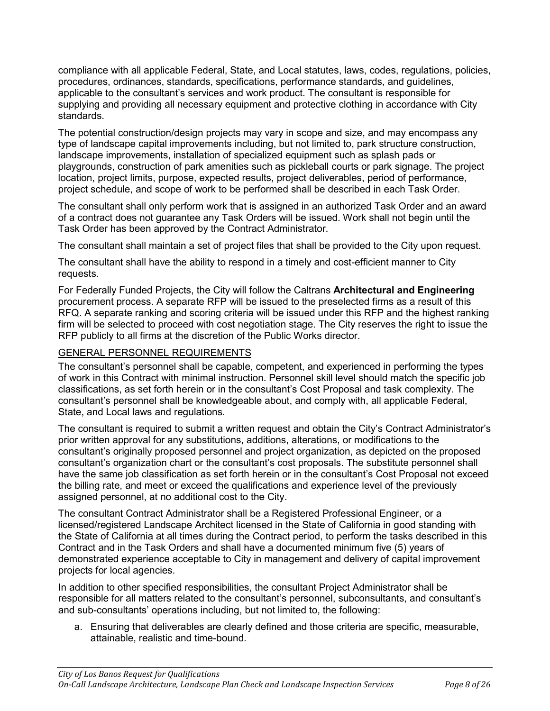compliance with all applicable Federal, State, and Local statutes, laws, codes, regulations, policies, procedures, ordinances, standards, specifications, performance standards, and guidelines, applicable to the consultant's services and work product. The consultant is responsible for supplying and providing all necessary equipment and protective clothing in accordance with City standards.

The potential construction/design projects may vary in scope and size, and may encompass any type of landscape capital improvements including, but not limited to, park structure construction, landscape improvements, installation of specialized equipment such as splash pads or playgrounds, construction of park amenities such as pickleball courts or park signage. The project location, project limits, purpose, expected results, project deliverables, period of performance, project schedule, and scope of work to be performed shall be described in each Task Order.

The consultant shall only perform work that is assigned in an authorized Task Order and an award of a contract does not guarantee any Task Orders will be issued. Work shall not begin until the Task Order has been approved by the Contract Administrator.

The consultant shall maintain a set of project files that shall be provided to the City upon request.

The consultant shall have the ability to respond in a timely and cost-efficient manner to City requests.

For Federally Funded Projects, the City will follow the Caltrans **Architectural and Engineering**  procurement process. A separate RFP will be issued to the preselected firms as a result of this RFQ. A separate ranking and scoring criteria will be issued under this RFP and the highest ranking firm will be selected to proceed with cost negotiation stage. The City reserves the right to issue the RFP publicly to all firms at the discretion of the Public Works director.

# GENERAL PERSONNEL REQUIREMENTS

The consultant's personnel shall be capable, competent, and experienced in performing the types of work in this Contract with minimal instruction. Personnel skill level should match the specific job classifications, as set forth herein or in the consultant's Cost Proposal and task complexity. The consultant's personnel shall be knowledgeable about, and comply with, all applicable Federal, State, and Local laws and regulations.

The consultant is required to submit a written request and obtain the City's Contract Administrator's prior written approval for any substitutions, additions, alterations, or modifications to the consultant's originally proposed personnel and project organization, as depicted on the proposed consultant's organization chart or the consultant's cost proposals. The substitute personnel shall have the same job classification as set forth herein or in the consultant's Cost Proposal not exceed the billing rate, and meet or exceed the qualifications and experience level of the previously assigned personnel, at no additional cost to the City.

The consultant Contract Administrator shall be a Registered Professional Engineer, or a licensed/registered Landscape Architect licensed in the State of California in good standing with the State of California at all times during the Contract period, to perform the tasks described in this Contract and in the Task Orders and shall have a documented minimum five (5) years of demonstrated experience acceptable to City in management and delivery of capital improvement projects for local agencies.

In addition to other specified responsibilities, the consultant Project Administrator shall be responsible for all matters related to the consultant's personnel, subconsultants, and consultant's and sub-consultants' operations including, but not limited to, the following:

a. Ensuring that deliverables are clearly defined and those criteria are specific, measurable, attainable, realistic and time-bound.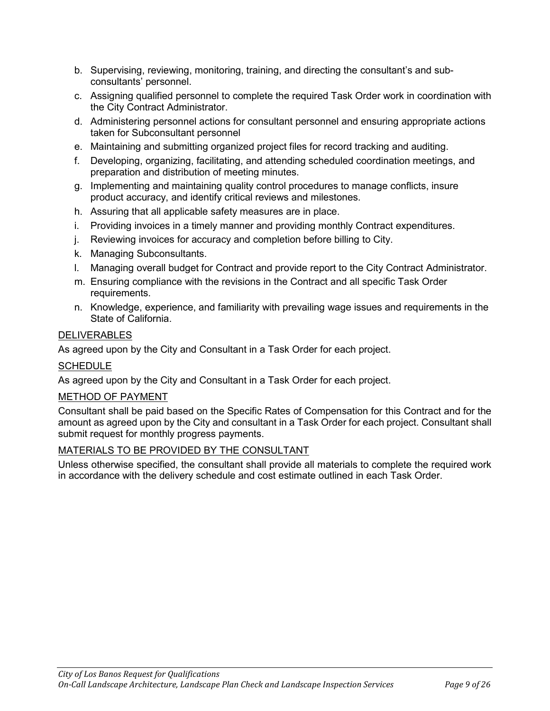- b. Supervising, reviewing, monitoring, training, and directing the consultant's and subconsultants' personnel.
- c. Assigning qualified personnel to complete the required Task Order work in coordination with the City Contract Administrator.
- d. Administering personnel actions for consultant personnel and ensuring appropriate actions taken for Subconsultant personnel
- e. Maintaining and submitting organized project files for record tracking and auditing.
- f. Developing, organizing, facilitating, and attending scheduled coordination meetings, and preparation and distribution of meeting minutes.
- g. Implementing and maintaining quality control procedures to manage conflicts, insure product accuracy, and identify critical reviews and milestones.
- h. Assuring that all applicable safety measures are in place.
- i. Providing invoices in a timely manner and providing monthly Contract expenditures.
- j. Reviewing invoices for accuracy and completion before billing to City.
- k. Managing Subconsultants.
- l. Managing overall budget for Contract and provide report to the City Contract Administrator.
- m. Ensuring compliance with the revisions in the Contract and all specific Task Order requirements.
- n. Knowledge, experience, and familiarity with prevailing wage issues and requirements in the State of California.

# DELIVERABLES

As agreed upon by the City and Consultant in a Task Order for each project.

# **SCHEDULE**

As agreed upon by the City and Consultant in a Task Order for each project.

# METHOD OF PAYMENT

Consultant shall be paid based on the Specific Rates of Compensation for this Contract and for the amount as agreed upon by the City and consultant in a Task Order for each project. Consultant shall submit request for monthly progress payments.

## MATERIALS TO BE PROVIDED BY THE CONSULTANT

Unless otherwise specified, the consultant shall provide all materials to complete the required work in accordance with the delivery schedule and cost estimate outlined in each Task Order.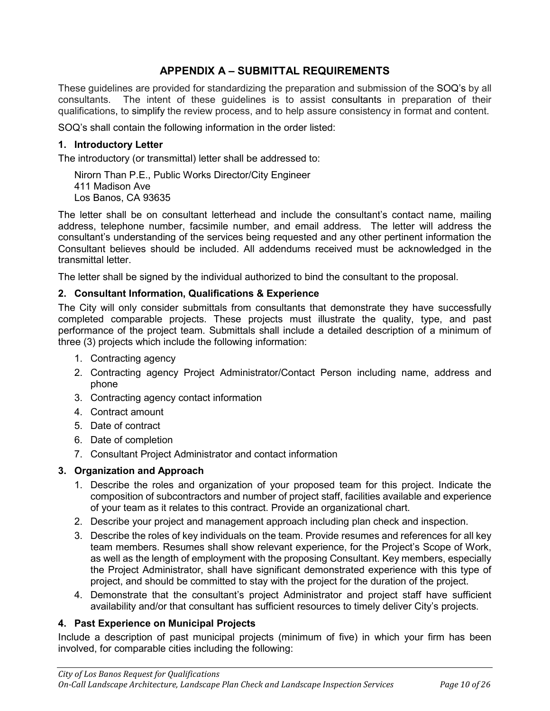# **APPENDIX A – SUBMITTAL REQUIREMENTS**

These guidelines are provided for standardizing the preparation and submission of the SOQ's by all consultants. The intent of these guidelines is to assist consultants in preparation of their qualifications, to simplify the review process, and to help assure consistency in format and content.

SOQ's shall contain the following information in the order listed:

### **1. Introductory Letter**

The introductory (or transmittal) letter shall be addressed to:

Nirorn Than P.E., Public Works Director/City Engineer 411 Madison Ave Los Banos, CA 93635

The letter shall be on consultant letterhead and include the consultant's contact name, mailing address, telephone number, facsimile number, and email address. The letter will address the consultant's understanding of the services being requested and any other pertinent information the Consultant believes should be included. All addendums received must be acknowledged in the transmittal letter.

The letter shall be signed by the individual authorized to bind the consultant to the proposal.

#### **2. Consultant Information, Qualifications & Experience**

The City will only consider submittals from consultants that demonstrate they have successfully completed comparable projects. These projects must illustrate the quality, type, and past performance of the project team. Submittals shall include a detailed description of a minimum of three (3) projects which include the following information:

- 1. Contracting agency
- 2. Contracting agency Project Administrator/Contact Person including name, address and phone
- 3. Contracting agency contact information
- 4. Contract amount
- 5. Date of contract
- 6. Date of completion
- 7. Consultant Project Administrator and contact information

#### **3. Organization and Approach**

- 1. Describe the roles and organization of your proposed team for this project. Indicate the composition of subcontractors and number of project staff, facilities available and experience of your team as it relates to this contract. Provide an organizational chart.
- 2. Describe your project and management approach including plan check and inspection.
- 3. Describe the roles of key individuals on the team. Provide resumes and references for all key team members. Resumes shall show relevant experience, for the Project's Scope of Work, as well as the length of employment with the proposing Consultant. Key members, especially the Project Administrator, shall have significant demonstrated experience with this type of project, and should be committed to stay with the project for the duration of the project.
- 4. Demonstrate that the consultant's project Administrator and project staff have sufficient availability and/or that consultant has sufficient resources to timely deliver City's projects.

#### **4. Past Experience on Municipal Projects**

Include a description of past municipal projects (minimum of five) in which your firm has been involved, for comparable cities including the following: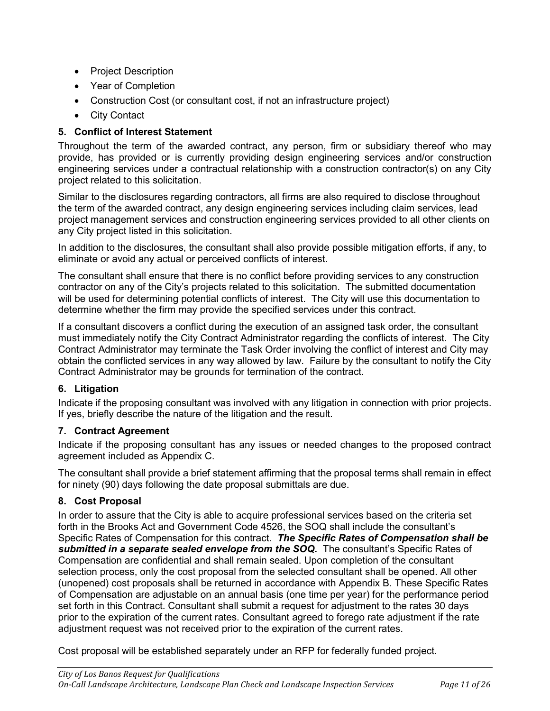- Project Description
- Year of Completion
- Construction Cost (or consultant cost, if not an infrastructure project)
- City Contact

# **5. Conflict of Interest Statement**

Throughout the term of the awarded contract, any person, firm or subsidiary thereof who may provide, has provided or is currently providing design engineering services and/or construction engineering services under a contractual relationship with a construction contractor(s) on any City project related to this solicitation.

Similar to the disclosures regarding contractors, all firms are also required to disclose throughout the term of the awarded contract, any design engineering services including claim services, lead project management services and construction engineering services provided to all other clients on any City project listed in this solicitation.

In addition to the disclosures, the consultant shall also provide possible mitigation efforts, if any, to eliminate or avoid any actual or perceived conflicts of interest.

The consultant shall ensure that there is no conflict before providing services to any construction contractor on any of the City's projects related to this solicitation. The submitted documentation will be used for determining potential conflicts of interest. The City will use this documentation to determine whether the firm may provide the specified services under this contract.

If a consultant discovers a conflict during the execution of an assigned task order, the consultant must immediately notify the City Contract Administrator regarding the conflicts of interest. The City Contract Administrator may terminate the Task Order involving the conflict of interest and City may obtain the conflicted services in any way allowed by law. Failure by the consultant to notify the City Contract Administrator may be grounds for termination of the contract.

## **6. Litigation**

Indicate if the proposing consultant was involved with any litigation in connection with prior projects. If yes, briefly describe the nature of the litigation and the result.

## **7. Contract Agreement**

Indicate if the proposing consultant has any issues or needed changes to the proposed contract agreement included as Appendix C.

The consultant shall provide a brief statement affirming that the proposal terms shall remain in effect for ninety (90) days following the date proposal submittals are due.

## **8. Cost Proposal**

In order to assure that the City is able to acquire professional services based on the criteria set forth in the Brooks Act and Government Code 4526, the SOQ shall include the consultant's Specific Rates of Compensation for this contract. *The Specific Rates of Compensation shall be submitted in a separate sealed envelope from the SOQ.* The consultant's Specific Rates of Compensation are confidential and shall remain sealed. Upon completion of the consultant selection process, only the cost proposal from the selected consultant shall be opened. All other (unopened) cost proposals shall be returned in accordance with Appendix B. These Specific Rates of Compensation are adjustable on an annual basis (one time per year) for the performance period set forth in this Contract. Consultant shall submit a request for adjustment to the rates 30 days prior to the expiration of the current rates. Consultant agreed to forego rate adjustment if the rate adjustment request was not received prior to the expiration of the current rates.

Cost proposal will be established separately under an RFP for federally funded project.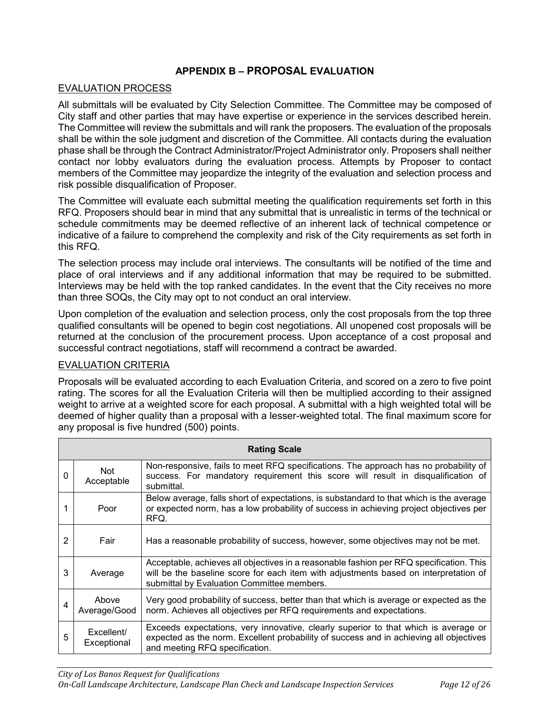## **APPENDIX B – PROPOSAL EVALUATION**

#### EVALUATION PROCESS

All submittals will be evaluated by City Selection Committee. The Committee may be composed of City staff and other parties that may have expertise or experience in the services described herein. The Committee will review the submittals and will rank the proposers. The evaluation of the proposals shall be within the sole judgment and discretion of the Committee. All contacts during the evaluation phase shall be through the Contract Administrator/Project Administrator only. Proposers shall neither contact nor lobby evaluators during the evaluation process. Attempts by Proposer to contact members of the Committee may jeopardize the integrity of the evaluation and selection process and risk possible disqualification of Proposer.

The Committee will evaluate each submittal meeting the qualification requirements set forth in this RFQ. Proposers should bear in mind that any submittal that is unrealistic in terms of the technical or schedule commitments may be deemed reflective of an inherent lack of technical competence or indicative of a failure to comprehend the complexity and risk of the City requirements as set forth in this RFQ.

The selection process may include oral interviews. The consultants will be notified of the time and place of oral interviews and if any additional information that may be required to be submitted. Interviews may be held with the top ranked candidates. In the event that the City receives no more than three SOQs, the City may opt to not conduct an oral interview.

Upon completion of the evaluation and selection process, only the cost proposals from the top three qualified consultants will be opened to begin cost negotiations. All unopened cost proposals will be returned at the conclusion of the procurement process. Upon acceptance of a cost proposal and successful contract negotiations, staff will recommend a contract be awarded.

#### EVALUATION CRITERIA

Proposals will be evaluated according to each Evaluation Criteria, and scored on a zero to five point rating. The scores for all the Evaluation Criteria will then be multiplied according to their assigned weight to arrive at a weighted score for each proposal. A submittal with a high weighted total will be deemed of higher quality than a proposal with a lesser-weighted total. The final maximum score for any proposal is five hundred (500) points.

| <b>Rating Scale</b> |                           |                                                                                                                                                                                                                               |  |  |  |  |  |
|---------------------|---------------------------|-------------------------------------------------------------------------------------------------------------------------------------------------------------------------------------------------------------------------------|--|--|--|--|--|
| 0                   | <b>Not</b><br>Acceptable  | Non-responsive, fails to meet RFQ specifications. The approach has no probability of<br>success. For mandatory requirement this score will result in disqualification of<br>submittal.                                        |  |  |  |  |  |
|                     | Poor                      | Below average, falls short of expectations, is substandard to that which is the average<br>or expected norm, has a low probability of success in achieving project objectives per<br>RFQ.                                     |  |  |  |  |  |
| 2                   | Fair                      | Has a reasonable probability of success, however, some objectives may not be met.                                                                                                                                             |  |  |  |  |  |
| 3                   | Average                   | Acceptable, achieves all objectives in a reasonable fashion per RFQ specification. This<br>will be the baseline score for each item with adjustments based on interpretation of<br>submittal by Evaluation Committee members. |  |  |  |  |  |
| 4                   | Above<br>Average/Good     | Very good probability of success, better than that which is average or expected as the<br>norm. Achieves all objectives per RFQ requirements and expectations.                                                                |  |  |  |  |  |
| 5                   | Excellent/<br>Exceptional | Exceeds expectations, very innovative, clearly superior to that which is average or<br>expected as the norm. Excellent probability of success and in achieving all objectives<br>and meeting RFQ specification.               |  |  |  |  |  |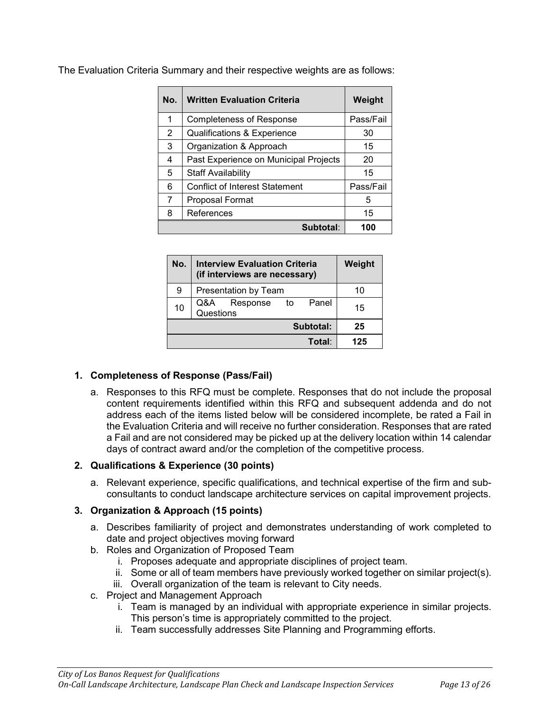| No. | <b>Written Evaluation Criteria</b>    | Weight    |
|-----|---------------------------------------|-----------|
| 1   | <b>Completeness of Response</b>       | Pass/Fail |
| 2   | Qualifications & Experience           | 30        |
| 3   | Organization & Approach               | 15        |
| 4   | Past Experience on Municipal Projects | 20        |
| 5   | <b>Staff Availability</b>             | 15        |
| 6   | <b>Conflict of Interest Statement</b> | Pass/Fail |
| 7   | Proposal Format                       | 5         |
| 8   | References                            | 15        |
|     | Subtotal:                             | 100       |

The Evaluation Criteria Summary and their respective weights are as follows:

| No. | <b>Interview Evaluation Criteria</b><br>(if interviews are necessary) |     |  |  |  |
|-----|-----------------------------------------------------------------------|-----|--|--|--|
| 9   | Presentation by Team                                                  | 10  |  |  |  |
| 10  | Panel<br>Q&A Response<br>to<br>Questions                              | 15  |  |  |  |
|     | 25                                                                    |     |  |  |  |
|     | Total:                                                                | 125 |  |  |  |

#### **1. Completeness of Response (Pass/Fail)**

a. Responses to this RFQ must be complete. Responses that do not include the proposal content requirements identified within this RFQ and subsequent addenda and do not address each of the items listed below will be considered incomplete, be rated a Fail in the Evaluation Criteria and will receive no further consideration. Responses that are rated a Fail and are not considered may be picked up at the delivery location within 14 calendar days of contract award and/or the completion of the competitive process.

#### **2. Qualifications & Experience (30 points)**

a. Relevant experience, specific qualifications, and technical expertise of the firm and subconsultants to conduct landscape architecture services on capital improvement projects.

## **3. Organization & Approach (15 points)**

- a. Describes familiarity of project and demonstrates understanding of work completed to date and project objectives moving forward
- b. Roles and Organization of Proposed Team
	- i. Proposes adequate and appropriate disciplines of project team.
	- ii. Some or all of team members have previously worked together on similar project(s).
	- iii. Overall organization of the team is relevant to City needs.
- c. Project and Management Approach
	- i. Team is managed by an individual with appropriate experience in similar projects. This person's time is appropriately committed to the project.
	- ii. Team successfully addresses Site Planning and Programming efforts.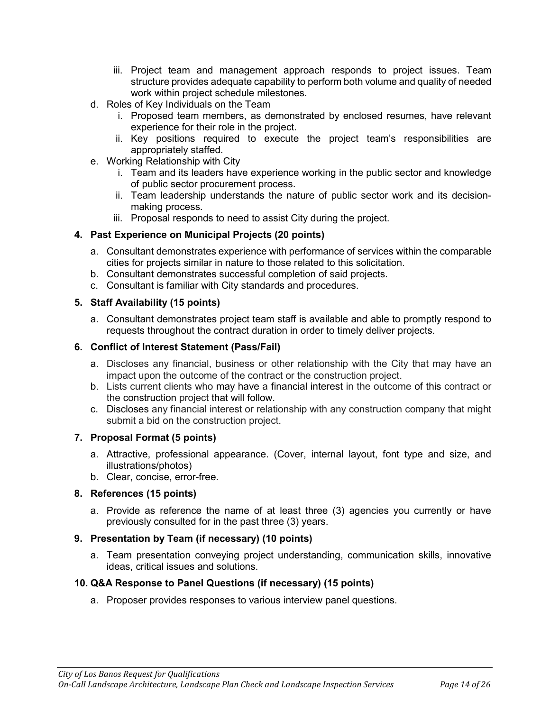- iii. Project team and management approach responds to project issues. Team structure provides adequate capability to perform both volume and quality of needed work within project schedule milestones.
- d. Roles of Key Individuals on the Team
	- i. Proposed team members, as demonstrated by enclosed resumes, have relevant experience for their role in the project.
	- ii. Key positions required to execute the project team's responsibilities are appropriately staffed.
- e. Working Relationship with City
	- i. Team and its leaders have experience working in the public sector and knowledge of public sector procurement process.
	- ii. Team leadership understands the nature of public sector work and its decisionmaking process.
	- iii. Proposal responds to need to assist City during the project.

#### **4. Past Experience on Municipal Projects (20 points)**

- a. Consultant demonstrates experience with performance of services within the comparable cities for projects similar in nature to those related to this solicitation.
- b. Consultant demonstrates successful completion of said projects.
- c. Consultant is familiar with City standards and procedures.

#### **5. Staff Availability (15 points)**

a. Consultant demonstrates project team staff is available and able to promptly respond to requests throughout the contract duration in order to timely deliver projects.

#### **6. Conflict of Interest Statement (Pass/Fail)**

- a. Discloses any financial, business or other relationship with the City that may have an impact upon the outcome of the contract or the construction project.
- b. Lists current clients who may have a financial interest in the outcome of this contract or the construction project that will follow.
- c. Discloses any financial interest or relationship with any construction company that might submit a bid on the construction project.

#### **7. Proposal Format (5 points)**

- a. Attractive, professional appearance. (Cover, internal layout, font type and size, and illustrations/photos)
- b. Clear, concise, error-free.

## **8. References (15 points)**

a. Provide as reference the name of at least three (3) agencies you currently or have previously consulted for in the past three (3) years.

#### **9. Presentation by Team (if necessary) (10 points)**

a. Team presentation conveying project understanding, communication skills, innovative ideas, critical issues and solutions.

#### **10. Q&A Response to Panel Questions (if necessary) (15 points)**

a. Proposer provides responses to various interview panel questions.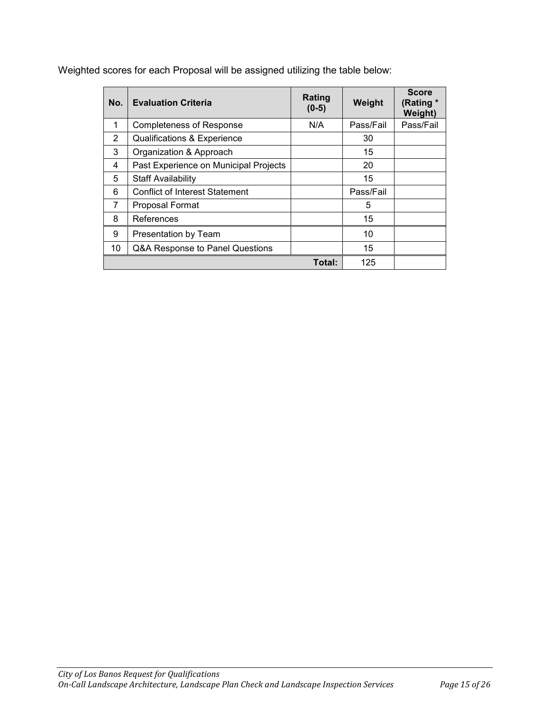Weighted scores for each Proposal will be assigned utilizing the table below:

| No. | <b>Evaluation Criteria</b>             | Rating<br>$(0-5)$ | Weight    | <b>Score</b><br>(Rating *<br>Weight) |
|-----|----------------------------------------|-------------------|-----------|--------------------------------------|
| 1   | <b>Completeness of Response</b>        | N/A               | Pass/Fail | Pass/Fail                            |
| 2   | <b>Qualifications &amp; Experience</b> |                   | 30        |                                      |
| 3   | Organization & Approach                |                   | 15        |                                      |
| 4   | Past Experience on Municipal Projects  |                   | 20        |                                      |
| 5   | <b>Staff Availability</b>              |                   | 15        |                                      |
| 6   | <b>Conflict of Interest Statement</b>  |                   | Pass/Fail |                                      |
| 7   | Proposal Format                        |                   | 5         |                                      |
| 8   | References                             |                   | 15        |                                      |
| 9   | Presentation by Team                   |                   | 10        |                                      |
| 10  | Q&A Response to Panel Questions        |                   | 15        |                                      |
|     |                                        | Total:            | 125       |                                      |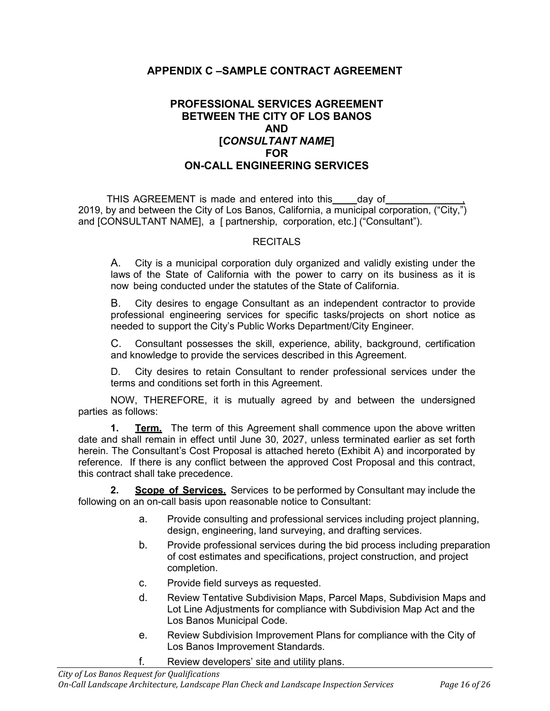# **APPENDIX C –SAMPLE CONTRACT AGREEMENT**

# **PROFESSIONAL SERVICES AGREEMENT BETWEEN THE CITY OF LOS BANOS AND [***CONSULTANT NAME***] FOR ON-CALL ENGINEERING SERVICES**

THIS AGREEMENT is made and entered into this \_\_\_\_ day of 2019, by and between the City of Los Banos, California, a municipal corporation, ("City,") and [CONSULTANT NAME], a [ partnership, corporation, etc.] ("Consultant").

#### **RECITALS**

A. City is a municipal corporation duly organized and validly existing under the laws of the State of California with the power to carry on its business as it is now being conducted under the statutes of the State of California.

B. City desires to engage Consultant as an independent contractor to provide professional engineering services for specific tasks/projects on short notice as needed to support the City's Public Works Department/City Engineer.

C. Consultant possesses the skill, experience, ability, background, certification and knowledge to provide the services described in this Agreement.

D. City desires to retain Consultant to render professional services under the terms and conditions set forth in this Agreement.

NOW, THEREFORE, it is mutually agreed by and between the undersigned parties as follows:

**1. Term.** The term of this Agreement shall commence upon the above written date and shall remain in effect until June 30, 2027, unless terminated earlier as set forth herein. The Consultant's Cost Proposal is attached hereto (Exhibit A) and incorporated by reference. If there is any conflict between the approved Cost Proposal and this contract, this contract shall take precedence.

**2. Scope of Services.** Services to be performed by Consultant may include the following on an on-call basis upon reasonable notice to Consultant:

- a. Provide consulting and professional services including project planning, design, engineering, land surveying, and drafting services.
- b. Provide professional services during the bid process including preparation of cost estimates and specifications, project construction, and project completion.
- c. Provide field surveys as requested.
- d. Review Tentative Subdivision Maps, Parcel Maps, Subdivision Maps and Lot Line Adjustments for compliance with Subdivision Map Act and the Los Banos Municipal Code.
- e. Review Subdivision Improvement Plans for compliance with the City of Los Banos Improvement Standards.
- f. Review developers' site and utility plans.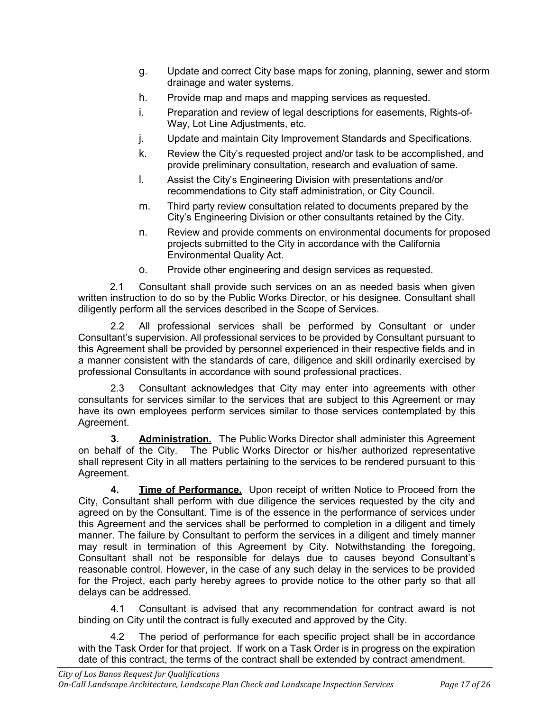- g. Update and correct City base maps for zoning, planning, sewer and storm drainage and water systems.
- h. Provide map and maps and mapping services as requested.
- i. Preparation and review of legal descriptions for easements, Rights-of-Way, Lot Line Adjustments, etc.
- j. Update and maintain City Improvement Standards and Specifications.
- k. Review the City's requested project and/or task to be accomplished, and provide preliminary consultation, research and evaluation of same.
- l. Assist the City's Engineering Division with presentations and/or recommendations to City staff administration, or City Council.
- m. Third party review consultation related to documents prepared by the City's Engineering Division or other consultants retained by the City.
- n. Review and provide comments on environmental documents for proposed projects submitted to the City in accordance with the California Environmental Quality Act.
- o. Provide other engineering and design services as requested.

2.1 Consultant shall provide such services on an as needed basis when given written instruction to do so by the Public Works Director, or his designee. Consultant shall diligently perform all the services described in the Scope of Services.

2.2 All professional services shall be performed by Consultant or under Consultant's supervision. All professional services to be provided by Consultant pursuant to this Agreement shall be provided by personnel experienced in their respective fields and in a manner consistent with the standards of care, diligence and skill ordinarily exercised by professional Consultants in accordance with sound professional practices.

2.3 Consultant acknowledges that City may enter into agreements with other consultants for services similar to the services that are subject to this Agreement or may have its own employees perform services similar to those services contemplated by this Agreement.

**3. Administration.** The Public Works Director shall administer this Agreement on behalf of the City. The Public Works Director or his/her authorized representative shall represent City in all matters pertaining to the services to be rendered pursuant to this Agreement.

**4. Time of Performance.** Upon receipt of written Notice to Proceed from the City, Consultant shall perform with due diligence the services requested by the city and agreed on by the Consultant. Time is of the essence in the performance of services under this Agreement and the services shall be performed to completion in a diligent and timely manner. The failure by Consultant to perform the services in a diligent and timely manner may result in termination of this Agreement by City. Notwithstanding the foregoing, Consultant shall not be responsible for delays due to causes beyond Consultant's reasonable control. However, in the case of any such delay in the services to be provided for the Project, each party hereby agrees to provide notice to the other party so that all delays can be addressed.

4.1 Consultant is advised that any recommendation for contract award is not binding on City until the contract is fully executed and approved by the City.

4.2 The period of performance for each specific project shall be in accordance with the Task Order for that project. If work on a Task Order is in progress on the expiration date of this contract, the terms of the contract shall be extended by contract amendment.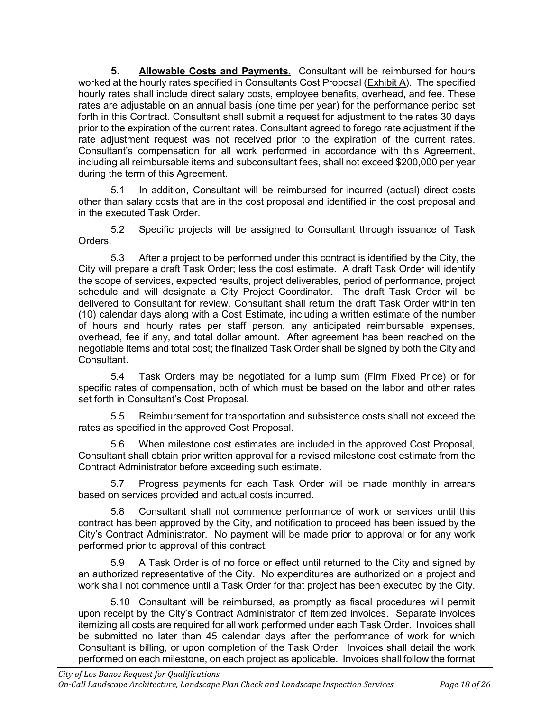**5. Allowable Costs and Payments.** Consultant will be reimbursed for hours worked at the hourly rates specified in Consultants Cost Proposal (Exhibit A). The specified hourly rates shall include direct salary costs, employee benefits, overhead, and fee. These rates are adjustable on an annual basis (one time per year) for the performance period set forth in this Contract. Consultant shall submit a request for adjustment to the rates 30 days prior to the expiration of the current rates. Consultant agreed to forego rate adjustment if the rate adjustment request was not received prior to the expiration of the current rates. Consultant's compensation for all work performed in accordance with this Agreement, including all reimbursable items and subconsultant fees, shall not exceed \$200,000 per year during the term of this Agreement.

5.1 In addition, Consultant will be reimbursed for incurred (actual) direct costs other than salary costs that are in the cost proposal and identified in the cost proposal and in the executed Task Order.

5.2 Specific projects will be assigned to Consultant through issuance of Task Orders.

5.3 After a project to be performed under this contract is identified by the City, the City will prepare a draft Task Order; less the cost estimate. A draft Task Order will identify the scope of services, expected results, project deliverables, period of performance, project schedule and will designate a City Project Coordinator. The draft Task Order will be delivered to Consultant for review. Consultant shall return the draft Task Order within ten (10) calendar days along with a Cost Estimate, including a written estimate of the number of hours and hourly rates per staff person, any anticipated reimbursable expenses, overhead, fee if any, and total dollar amount. After agreement has been reached on the negotiable items and total cost; the finalized Task Order shall be signed by both the City and Consultant.

5.4 Task Orders may be negotiated for a lump sum (Firm Fixed Price) or for specific rates of compensation, both of which must be based on the labor and other rates set forth in Consultant's Cost Proposal.

5.5 Reimbursement for transportation and subsistence costs shall not exceed the rates as specified in the approved Cost Proposal.

5.6 When milestone cost estimates are included in the approved Cost Proposal, Consultant shall obtain prior written approval for a revised milestone cost estimate from the Contract Administrator before exceeding such estimate.

5.7 Progress payments for each Task Order will be made monthly in arrears based on services provided and actual costs incurred.

5.8 Consultant shall not commence performance of work or services until this contract has been approved by the City, and notification to proceed has been issued by the City's Contract Administrator. No payment will be made prior to approval or for any work performed prior to approval of this contract.

5.9 A Task Order is of no force or effect until returned to the City and signed by an authorized representative of the City. No expenditures are authorized on a project and work shall not commence until a Task Order for that project has been executed by the City.

5.10 Consultant will be reimbursed, as promptly as fiscal procedures will permit upon receipt by the City's Contract Administrator of itemized invoices. Separate invoices itemizing all costs are required for all work performed under each Task Order. Invoices shall be submitted no later than 45 calendar days after the performance of work for which Consultant is billing, or upon completion of the Task Order. Invoices shall detail the work performed on each milestone, on each project as applicable. Invoices shall follow the format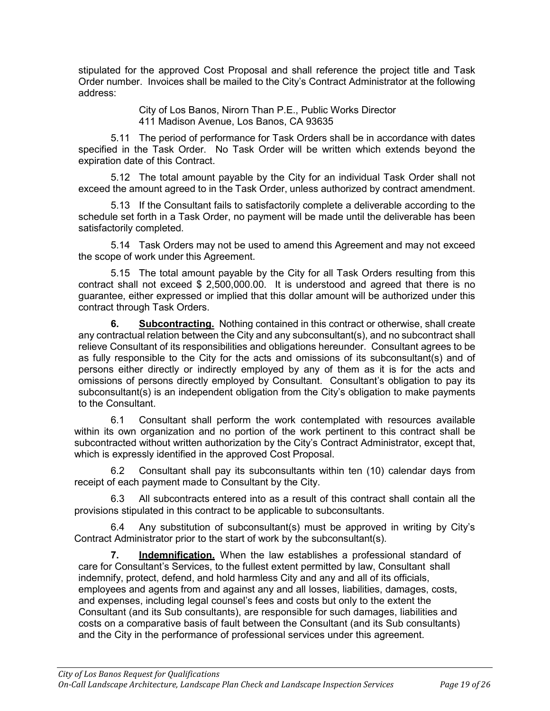stipulated for the approved Cost Proposal and shall reference the project title and Task Order number. Invoices shall be mailed to the City's Contract Administrator at the following address:

> City of Los Banos, Nirorn Than P.E., Public Works Director 411 Madison Avenue, Los Banos, CA 93635

5.11 The period of performance for Task Orders shall be in accordance with dates specified in the Task Order. No Task Order will be written which extends beyond the expiration date of this Contract.

5.12 The total amount payable by the City for an individual Task Order shall not exceed the amount agreed to in the Task Order, unless authorized by contract amendment.

5.13 If the Consultant fails to satisfactorily complete a deliverable according to the schedule set forth in a Task Order, no payment will be made until the deliverable has been satisfactorily completed.

5.14 Task Orders may not be used to amend this Agreement and may not exceed the scope of work under this Agreement.

5.15 The total amount payable by the City for all Task Orders resulting from this contract shall not exceed \$ 2,500,000.00. It is understood and agreed that there is no guarantee, either expressed or implied that this dollar amount will be authorized under this contract through Task Orders.

**6. Subcontracting.** Nothing contained in this contract or otherwise, shall create any contractual relation between the City and any subconsultant(s), and no subcontract shall relieve Consultant of its responsibilities and obligations hereunder. Consultant agrees to be as fully responsible to the City for the acts and omissions of its subconsultant(s) and of persons either directly or indirectly employed by any of them as it is for the acts and omissions of persons directly employed by Consultant. Consultant's obligation to pay its subconsultant(s) is an independent obligation from the City's obligation to make payments to the Consultant.

6.1 Consultant shall perform the work contemplated with resources available within its own organization and no portion of the work pertinent to this contract shall be subcontracted without written authorization by the City's Contract Administrator, except that, which is expressly identified in the approved Cost Proposal.

6.2 Consultant shall pay its subconsultants within ten (10) calendar days from receipt of each payment made to Consultant by the City.

6.3 All subcontracts entered into as a result of this contract shall contain all the provisions stipulated in this contract to be applicable to subconsultants.

6.4 Any substitution of subconsultant(s) must be approved in writing by City's Contract Administrator prior to the start of work by the subconsultant(s).

**7. Indemnification.** When the law establishes a professional standard of care for Consultant's Services, to the fullest extent permitted by law, Consultant shall indemnify, protect, defend, and hold harmless City and any and all of its officials, employees and agents from and against any and all losses, liabilities, damages, costs, and expenses, including legal counsel's fees and costs but only to the extent the Consultant (and its Sub consultants), are responsible for such damages, liabilities and costs on a comparative basis of fault between the Consultant (and its Sub consultants) and the City in the performance of professional services under this agreement.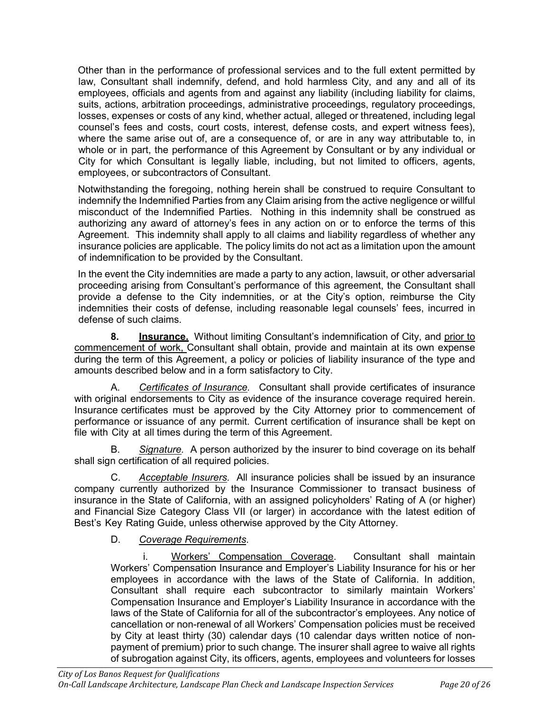Other than in the performance of professional services and to the full extent permitted by law, Consultant shall indemnify, defend, and hold harmless City, and any and all of its employees, officials and agents from and against any liability (including liability for claims, suits, actions, arbitration proceedings, administrative proceedings, regulatory proceedings, losses, expenses or costs of any kind, whether actual, alleged or threatened, including legal counsel's fees and costs, court costs, interest, defense costs, and expert witness fees), where the same arise out of, are a consequence of, or are in any way attributable to, in whole or in part, the performance of this Agreement by Consultant or by any individual or City for which Consultant is legally liable, including, but not limited to officers, agents, employees, or subcontractors of Consultant.

Notwithstanding the foregoing, nothing herein shall be construed to require Consultant to indemnify the Indemnified Parties from any Claim arising from the active negligence or willful misconduct of the Indemnified Parties. Nothing in this indemnity shall be construed as authorizing any award of attorney's fees in any action on or to enforce the terms of this Agreement. This indemnity shall apply to all claims and liability regardless of whether any insurance policies are applicable. The policy limits do not act as a limitation upon the amount of indemnification to be provided by the Consultant.

In the event the City indemnities are made a party to any action, lawsuit, or other adversarial proceeding arising from Consultant's performance of this agreement, the Consultant shall provide a defense to the City indemnities, or at the City's option, reimburse the City indemnities their costs of defense, including reasonable legal counsels' fees, incurred in defense of such claims.

**8. Insurance.** Without limiting Consultant's indemnification of City, and prior to commencement of work, Consultant shall obtain, provide and maintain at its own expense during the term of this Agreement, a policy or policies of liability insurance of the type and amounts described below and in a form satisfactory to City.

A. *Certificates of Insurance.* Consultant shall provide certificates of insurance with original endorsements to City as evidence of the insurance coverage required herein. Insurance certificates must be approved by the City Attorney prior to commencement of performance or issuance of any permit. Current certification of insurance shall be kept on file with City at all times during the term of this Agreement.

B. *Signature.* A person authorized by the insurer to bind coverage on its behalf shall sign certification of all required policies.

C. *Acceptable Insurers.* All insurance policies shall be issued by an insurance company currently authorized by the Insurance Commissioner to transact business of insurance in the State of California, with an assigned policyholders' Rating of A (or higher) and Financial Size Category Class VII (or larger) in accordance with the latest edition of Best's Key Rating Guide, unless otherwise approved by the City Attorney.

D. *Coverage Requirements*.

i. Workers' Compensation Coverage. Consultant shall maintain Workers' Compensation Insurance and Employer's Liability Insurance for his or her employees in accordance with the laws of the State of California. In addition, Consultant shall require each subcontractor to similarly maintain Workers' Compensation Insurance and Employer's Liability Insurance in accordance with the laws of the State of California for all of the subcontractor's employees. Any notice of cancellation or non-renewal of all Workers' Compensation policies must be received by City at least thirty (30) calendar days (10 calendar days written notice of nonpayment of premium) prior to such change. The insurer shall agree to waive all rights of subrogation against City, its officers, agents, employees and volunteers for losses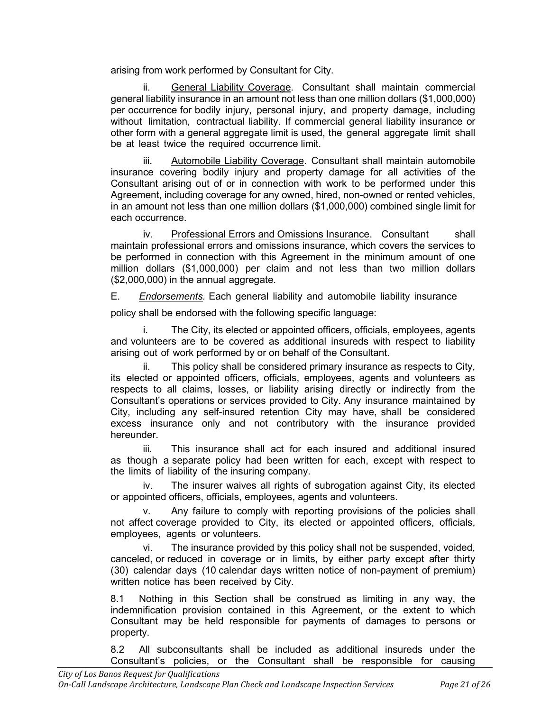arising from work performed by Consultant for City.

ii. General Liability Coverage. Consultant shall maintain commercial general liability insurance in an amount not less than one million dollars (\$1,000,000) per occurrence for bodily injury, personal injury, and property damage, including without limitation, contractual liability. If commercial general liability insurance or other form with a general aggregate limit is used, the general aggregate limit shall be at least twice the required occurrence limit.

iii. Automobile Liability Coverage. Consultant shall maintain automobile insurance covering bodily injury and property damage for all activities of the Consultant arising out of or in connection with work to be performed under this Agreement, including coverage for any owned, hired, non-owned or rented vehicles, in an amount not less than one million dollars (\$1,000,000) combined single limit for each occurrence.

iv. Professional Errors and Omissions Insurance. Consultant shall maintain professional errors and omissions insurance, which covers the services to be performed in connection with this Agreement in the minimum amount of one million dollars (\$1,000,000) per claim and not less than two million dollars (\$2,000,000) in the annual aggregate.

E. *Endorsements.* Each general liability and automobile liability insurance

policy shall be endorsed with the following specific language:

i. The City, its elected or appointed officers, officials, employees, agents and volunteers are to be covered as additional insureds with respect to liability arising out of work performed by or on behalf of the Consultant.

ii. This policy shall be considered primary insurance as respects to City, its elected or appointed officers, officials, employees, agents and volunteers as respects to all claims, losses, or liability arising directly or indirectly from the Consultant's operations or services provided to City. Any insurance maintained by City, including any self-insured retention City may have, shall be considered excess insurance only and not contributory with the insurance provided hereunder.

iii. This insurance shall act for each insured and additional insured as though a separate policy had been written for each, except with respect to the limits of liability of the insuring company.

iv. The insurer waives all rights of subrogation against City, its elected or appointed officers, officials, employees, agents and volunteers.

v. Any failure to comply with reporting provisions of the policies shall not affect coverage provided to City, its elected or appointed officers, officials, employees, agents or volunteers.

vi. The insurance provided by this policy shall not be suspended, voided, canceled, or reduced in coverage or in limits, by either party except after thirty (30) calendar days (10 calendar days written notice of non-payment of premium) written notice has been received by City.

8.1 Nothing in this Section shall be construed as limiting in any way, the indemnification provision contained in this Agreement, or the extent to which Consultant may be held responsible for payments of damages to persons or property.

8.2 All subconsultants shall be included as additional insureds under the Consultant's policies, or the Consultant shall be responsible for causing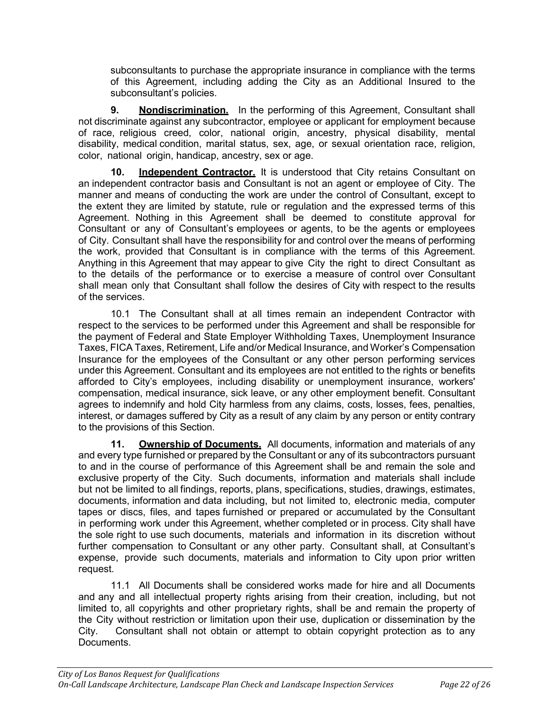subconsultants to purchase the appropriate insurance in compliance with the terms of this Agreement, including adding the City as an Additional Insured to the subconsultant's policies.

**9. Nondiscrimination.** In the performing of this Agreement, Consultant shall not discriminate against any subcontractor, employee or applicant for employment because of race, religious creed, color, national origin, ancestry, physical disability, mental disability, medical condition, marital status, sex, age, or sexual orientation race, religion, color, national origin, handicap, ancestry, sex or age.

**10. Independent Contractor.** It is understood that City retains Consultant on an independent contractor basis and Consultant is not an agent or employee of City. The manner and means of conducting the work are under the control of Consultant, except to the extent they are limited by statute, rule or regulation and the expressed terms of this Agreement. Nothing in this Agreement shall be deemed to constitute approval for Consultant or any of Consultant's employees or agents, to be the agents or employees of City. Consultant shall have the responsibility for and control over the means of performing the work, provided that Consultant is in compliance with the terms of this Agreement. Anything in this Agreement that may appear to give City the right to direct Consultant as to the details of the performance or to exercise a measure of control over Consultant shall mean only that Consultant shall follow the desires of City with respect to the results of the services.

10.1 The Consultant shall at all times remain an independent Contractor with respect to the services to be performed under this Agreement and shall be responsible for the payment of Federal and State Employer Withholding Taxes, Unemployment Insurance Taxes, FICA Taxes, Retirement, Life and/or Medical Insurance, and Worker's Compensation Insurance for the employees of the Consultant or any other person performing services under this Agreement. Consultant and its employees are not entitled to the rights or benefits afforded to City's employees, including disability or unemployment insurance, workers' compensation, medical insurance, sick leave, or any other employment benefit. Consultant agrees to indemnify and hold City harmless from any claims, costs, losses, fees, penalties, interest, or damages suffered by City as a result of any claim by any person or entity contrary to the provisions of this Section.

**11. Ownership of Documents.** All documents, information and materials of any and every type furnished or prepared by the Consultant or any of its subcontractors pursuant to and in the course of performance of this Agreement shall be and remain the sole and exclusive property of the City. Such documents, information and materials shall include but not be limited to all findings, reports, plans, specifications, studies, drawings, estimates, documents, information and data including, but not limited to, electronic media, computer tapes or discs, files, and tapes furnished or prepared or accumulated by the Consultant in performing work under this Agreement, whether completed or in process. City shall have the sole right to use such documents, materials and information in its discretion without further compensation to Consultant or any other party. Consultant shall, at Consultant's expense, provide such documents, materials and information to City upon prior written request.

11.1 All Documents shall be considered works made for hire and all Documents and any and all intellectual property rights arising from their creation, including, but not limited to, all copyrights and other proprietary rights, shall be and remain the property of the City without restriction or limitation upon their use, duplication or dissemination by the City. Consultant shall not obtain or attempt to obtain copyright protection as to any Documents.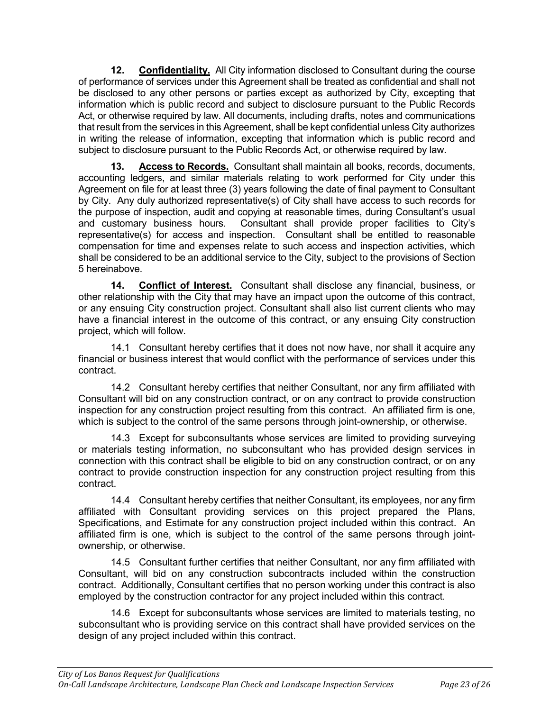**12. Confidentiality.** All City information disclosed to Consultant during the course of performance of services under this Agreement shall be treated as confidential and shall not be disclosed to any other persons or parties except as authorized by City, excepting that information which is public record and subject to disclosure pursuant to the Public Records Act, or otherwise required by law. All documents, including drafts, notes and communications that result from the services in this Agreement, shall be kept confidential unless City authorizes in writing the release of information, excepting that information which is public record and subject to disclosure pursuant to the Public Records Act, or otherwise required by law.

**13. Access to Records.** Consultant shall maintain all books, records, documents, accounting ledgers, and similar materials relating to work performed for City under this Agreement on file for at least three (3) years following the date of final payment to Consultant by City. Any duly authorized representative(s) of City shall have access to such records for the purpose of inspection, audit and copying at reasonable times, during Consultant's usual and customary business hours. Consultant shall provide proper facilities to City's representative(s) for access and inspection. Consultant shall be entitled to reasonable compensation for time and expenses relate to such access and inspection activities, which shall be considered to be an additional service to the City, subject to the provisions of Section 5 hereinabove.

**14. Conflict of Interest.** Consultant shall disclose any financial, business, or other relationship with the City that may have an impact upon the outcome of this contract, or any ensuing City construction project. Consultant shall also list current clients who may have a financial interest in the outcome of this contract, or any ensuing City construction project, which will follow.

14.1 Consultant hereby certifies that it does not now have, nor shall it acquire any financial or business interest that would conflict with the performance of services under this contract.

14.2 Consultant hereby certifies that neither Consultant, nor any firm affiliated with Consultant will bid on any construction contract, or on any contract to provide construction inspection for any construction project resulting from this contract. An affiliated firm is one, which is subject to the control of the same persons through joint-ownership, or otherwise.

14.3 Except for subconsultants whose services are limited to providing surveying or materials testing information, no subconsultant who has provided design services in connection with this contract shall be eligible to bid on any construction contract, or on any contract to provide construction inspection for any construction project resulting from this contract.

14.4 Consultant hereby certifies that neither Consultant, its employees, nor any firm affiliated with Consultant providing services on this project prepared the Plans, Specifications, and Estimate for any construction project included within this contract. An affiliated firm is one, which is subject to the control of the same persons through jointownership, or otherwise.

14.5 Consultant further certifies that neither Consultant, nor any firm affiliated with Consultant, will bid on any construction subcontracts included within the construction contract. Additionally, Consultant certifies that no person working under this contract is also employed by the construction contractor for any project included within this contract.

14.6 Except for subconsultants whose services are limited to materials testing, no subconsultant who is providing service on this contract shall have provided services on the design of any project included within this contract.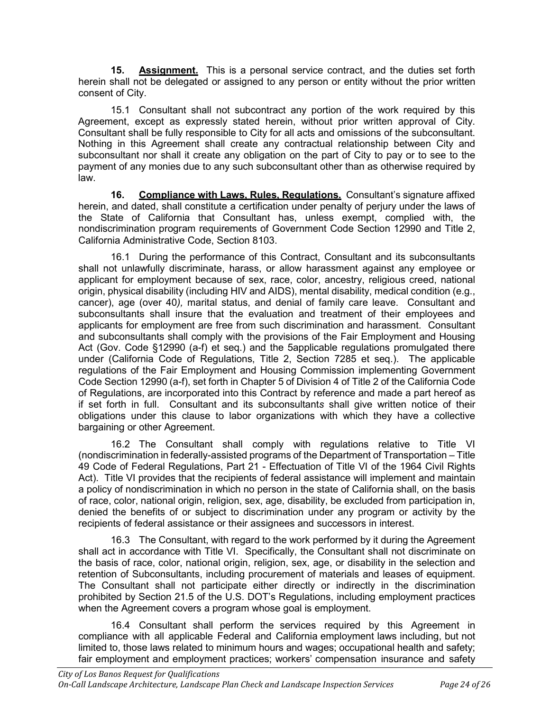**15. Assignment.** This is a personal service contract, and the duties set forth herein shall not be delegated or assigned to any person or entity without the prior written consent of City.

15.1 Consultant shall not subcontract any portion of the work required by this Agreement, except as expressly stated herein, without prior written approval of City. Consultant shall be fully responsible to City for all acts and omissions of the subconsultant. Nothing in this Agreement shall create any contractual relationship between City and subconsultant nor shall it create any obligation on the part of City to pay or to see to the payment of any monies due to any such subconsultant other than as otherwise required by law.

**16. Compliance with Laws, Rules, Regulations.** Consultant's signature affixed herein, and dated, shall constitute a certification under penalty of perjury under the laws of the State of California that Consultant has, unless exempt, complied with, the nondiscrimination program requirements of Government Code Section 12990 and Title 2, California Administrative Code, Section 8103.

16.1 During the performance of this Contract, Consultant and its subconsultants shall not unlawfully discriminate, harass, or allow harassment against any employee or applicant for employment because of sex, race, color, ancestry, religious creed, national origin, physical disability (including HIV and AIDS), mental disability, medical condition (e.g., cancer), age (over 40*),* marital status, and denial of family care leave. Consultant and subconsultants shall insure that the evaluation and treatment of their employees and applicants for employment are free from such discrimination and harassment. Consultant and subconsultants shall comply with the provisions of the Fair Employment and Housing Act (Gov. Code §12990 (a-f) et seq.) and the 5applicable regulations promulgated there under (California Code of Regulations, Title 2, Section 7285 et seq.). The applicable regulations of the Fair Employment and Housing Commission implementing Government Code Section 12990 (a-f), set forth in Chapter 5 of Division 4 of Title 2 of the California Code of Regulations, are incorporated into this Contract by reference and made a part hereof as if set forth in full. Consultant and its subconsultant*s* shall give written notice of their obligations under this clause to labor organizations with which they have a collective bargaining or other Agreement.

16.2 The Consultant shall comply with regulations relative to Title VI (nondiscrimination in federally-assisted programs of the Department of Transportation – Title 49 Code of Federal Regulations, Part 21 - Effectuation of Title VI of the 1964 Civil Rights Act). Title VI provides that the recipients of federal assistance will implement and maintain a policy of nondiscrimination in which no person in the state of California shall, on the basis of race, color, national origin, religion, sex, age, disability, be excluded from participation in, denied the benefits of or subject to discrimination under any program or activity by the recipients of federal assistance or their assignees and successors in interest.

16.3 The Consultant, with regard to the work performed by it during the Agreement shall act in accordance with Title VI. Specifically, the Consultant shall not discriminate on the basis of race, color, national origin, religion, sex, age, or disability in the selection and retention of Subconsultants, including procurement of materials and leases of equipment. The Consultant shall not participate either directly or indirectly in the discrimination prohibited by Section 21.5 of the U.S. DOT's Regulations, including employment practices when the Agreement covers a program whose goal is employment.

16.4 Consultant shall perform the services required by this Agreement in compliance with all applicable Federal and California employment laws including, but not limited to, those laws related to minimum hours and wages; occupational health and safety; fair employment and employment practices; workers' compensation insurance and safety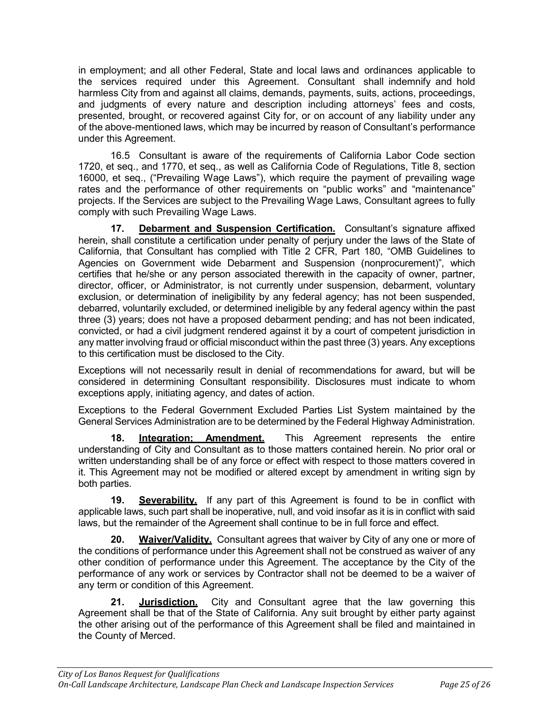in employment; and all other Federal, State and local laws and ordinances applicable to the services required under this Agreement. Consultant shall indemnify and hold harmless City from and against all claims, demands, payments, suits, actions, proceedings, and judgments of every nature and description including attorneys' fees and costs, presented, brought, or recovered against City for, or on account of any liability under any of the above-mentioned laws, which may be incurred by reason of Consultant's performance under this Agreement.

16.5 Consultant is aware of the requirements of California Labor Code section 1720, et seq., and 1770, et seq., as well as California Code of Regulations, Title 8, section 16000, et seq., ("Prevailing Wage Laws"), which require the payment of prevailing wage rates and the performance of other requirements on "public works" and "maintenance" projects. If the Services are subject to the Prevailing Wage Laws, Consultant agrees to fully comply with such Prevailing Wage Laws.

**17. Debarment and Suspension Certification.** Consultant's signature affixed herein, shall constitute a certification under penalty of perjury under the laws of the State of California, that Consultant has complied with Title 2 CFR, Part 180, "OMB Guidelines to Agencies on Government wide Debarment and Suspension (nonprocurement)", which certifies that he/she or any person associated therewith in the capacity of owner, partner, director, officer, or Administrator, is not currently under suspension, debarment, voluntary exclusion, or determination of ineligibility by any federal agency; has not been suspended, debarred, voluntarily excluded, or determined ineligible by any federal agency within the past three (3) years; does not have a proposed debarment pending; and has not been indicated, convicted, or had a civil judgment rendered against it by a court of competent jurisdiction in any matter involving fraud or official misconduct within the past three (3) years. Any exceptions to this certification must be disclosed to the City.

Exceptions will not necessarily result in denial of recommendations for award, but will be considered in determining Consultant responsibility. Disclosures must indicate to whom exceptions apply, initiating agency, and dates of action.

Exceptions to the Federal Government Excluded Parties List System maintained by the General Services Administration are to be determined by the Federal Highway Administration.

**18. Integration; Amendment.** This Agreement represents the entire understanding of City and Consultant as to those matters contained herein. No prior oral or written understanding shall be of any force or effect with respect to those matters covered in it. This Agreement may not be modified or altered except by amendment in writing sign by both parties.

**19. Severability.** If any part of this Agreement is found to be in conflict with applicable laws, such part shall be inoperative, null, and void insofar as it is in conflict with said laws, but the remainder of the Agreement shall continue to be in full force and effect.

**20. Waiver/Validity.** Consultant agrees that waiver by City of any one or more of the conditions of performance under this Agreement shall not be construed as waiver of any other condition of performance under this Agreement. The acceptance by the City of the performance of any work or services by Contractor shall not be deemed to be a waiver of any term or condition of this Agreement.

**21. Jurisdiction.** City and Consultant agree that the law governing this Agreement shall be that of the State of California. Any suit brought by either party against the other arising out of the performance of this Agreement shall be filed and maintained in the County of Merced.